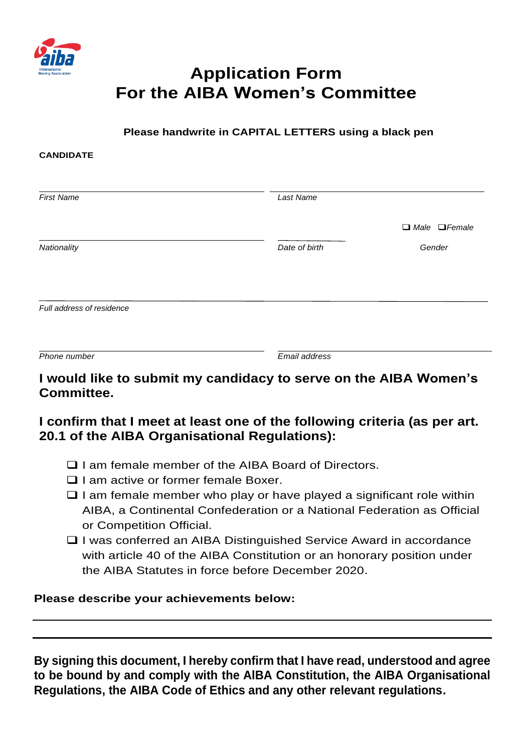

**CANDIDATE**

# **Application Form For the AIBA Women's Committee**

#### **Please handwrite in CAPITAL LETTERS using a black pen**

| <b>First Name</b>         | Last Name     |                           |
|---------------------------|---------------|---------------------------|
|                           |               | $\Box$ Male $\Box$ Female |
| Nationality               | Date of birth | Gender                    |
|                           |               |                           |
| Full address of residence |               |                           |
|                           |               |                           |
|                           |               |                           |
| Phone number              | Email address |                           |

# **I would like to submit my candidacy to serve on the AIBA Women's Committee.**

# **I confirm that I meet at least one of the following criteria (as per art. 20.1 of the AIBA Organisational Regulations):**

- ❑ I am female member of the AIBA Board of Directors.
- ❑ I am active or former female Boxer.
- $\Box$  I am female member who play or have played a significant role within AIBA, a Continental Confederation or a National Federation as Official or Competition Official.
- ❑ I was conferred an AIBA Distinguished Service Award in accordance with article 40 of the AIBA Constitution or an honorary position under the AIBA Statutes in force before December 2020.

#### **Please describe your achievements below:**

**By signing this document, I hereby confirm that I have read, understood and agree to be bound by and comply with the AlBA Constitution, the AIBA Organisational Regulations, the AIBA Code of Ethics and any other relevant regulations.**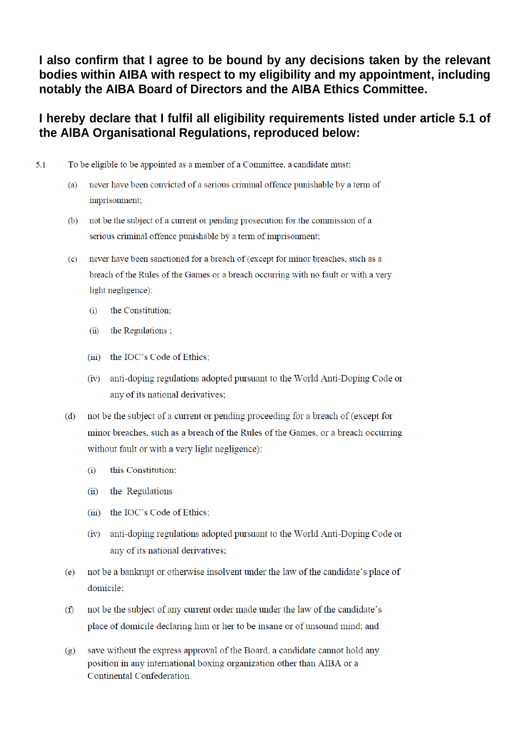I also confirm that I agree to be bound by any decisions taken by the relevant bodies within AIBA with respect to my eligibility and my appointment, including notably the AIBA Board of Directors and the AIBA Ethics Committee.

#### I hereby declare that I fulfil all eligibility requirements listed under article 5.1 of the AIBA Organisational Regulations, reproduced below:

- $5.1$ To be eligible to be appointed as a member of a Committee, a candidate must:
	- never have been convicted of a serious criminal offence punishable by a term of  $(a)$ imprisonment;
	- not be the subject of a current or pending prosecution for the commission of a  $(b)$ serious criminal offence punishable by a term of imprisonment;
	- never have been sanctioned for a breach of (except for minor breaches, such as a  $(c)$ breach of the Rules of the Games or a breach occurring with no fault or with a very light negligence):
		- the Constitution;  $(i)$
		- (ii) the Regulations;
		- (iii) the IOC's Code of Ethics:
		- (iv) anti-doping regulations adopted pursuant to the World Anti-Doping Code or any of its national derivatives;
	- not be the subject of a current or pending proceeding for a breach of (except for  $(d)$ minor breaches, such as a breach of the Rules of the Games, or a breach occurring without fault or with a very light negligence):
		- this Constitution;  $(i)$
		- (ii) the Regulations
		- (iii) the IOC's Code of Ethics;
		- (iv) anti-doping regulations adopted pursuant to the World Anti-Doping Code or any of its national derivatives;
	- not be a bankrupt or otherwise insolvent under the law of the candidate's place of  $(e)$ domicile:
	- not be the subject of any current order made under the law of the candidate's  $(f)$ place of domicile declaring him or her to be insane or of unsound mind; and
	- save without the express approval of the Board, a candidate cannot hold any  $(g)$ position in any international boxing organization other than AIBA or a Continental Confederation.